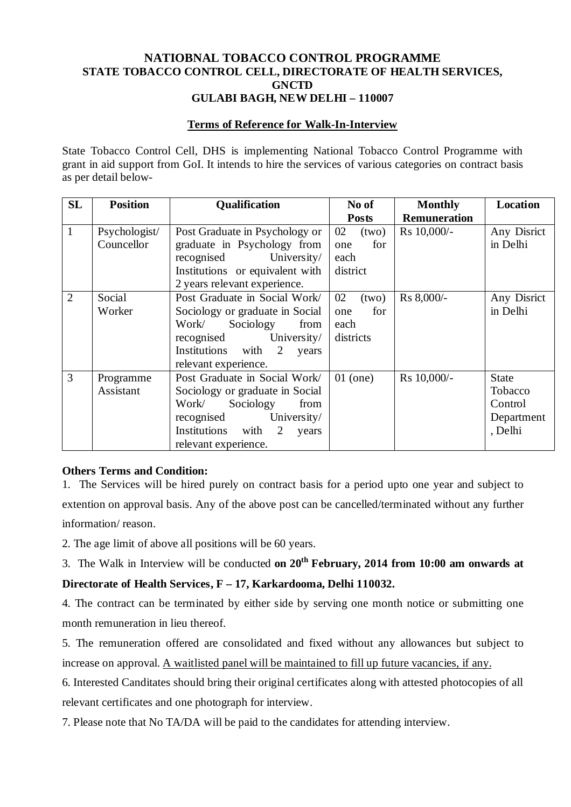## **NATIOBNAL TOBACCO CONTROL PROGRAMME STATE TOBACCO CONTROL CELL, DIRECTORATE OF HEALTH SERVICES, GNCTD GULABI BAGH, NEW DELHI – 110007**

#### **Terms of Reference for Walk-In-Interview**

State Tobacco Control Cell, DHS is implementing National Tobacco Control Programme with grant in aid support from GoI. It intends to hire the services of various categories on contract basis as per detail below-

| SL             | <b>Position</b> | <b>Qualification</b>            | No of        | <b>Monthly</b>      | Location     |
|----------------|-----------------|---------------------------------|--------------|---------------------|--------------|
|                |                 |                                 | <b>Posts</b> | <b>Remuneration</b> |              |
| $\mathbf{1}$   | Psychologist/   | Post Graduate in Psychology or  | 02<br>(two)  | Rs 10,000/-         | Any Disrict  |
|                | Councellor      | graduate in Psychology from     | for<br>one   |                     | in Delhi     |
|                |                 | recognised<br>University/       | each         |                     |              |
|                |                 | Institutions or equivalent with | district     |                     |              |
|                |                 | 2 years relevant experience.    |              |                     |              |
| $\overline{2}$ | Social          | Post Graduate in Social Work/   | 02<br>(two)  | Rs 8,000/-          | Any Disrict  |
|                | Worker          | Sociology or graduate in Social | for<br>one   |                     | in Delhi     |
|                |                 | Work/<br>Sociology<br>from      | each         |                     |              |
|                |                 | University/<br>recognised       | districts    |                     |              |
|                |                 | Institutions with<br>2<br>years |              |                     |              |
|                |                 | relevant experience.            |              |                     |              |
| $\overline{3}$ | Programme       | Post Graduate in Social Work/   | $01$ (one)   | Rs 10,000/-         | <b>State</b> |
|                | Assistant       | Sociology or graduate in Social |              |                     | Tobacco      |
|                |                 | Work/<br>Sociology<br>from      |              |                     | Control      |
|                |                 | University/<br>recognised       |              |                     | Department   |
|                |                 | Institutions with<br>2<br>years |              |                     | , Delhi      |
|                |                 | relevant experience.            |              |                     |              |

## **Others Terms and Condition:**

1. The Services will be hired purely on contract basis for a period upto one year and subject to extention on approval basis. Any of the above post can be cancelled/terminated without any further information/ reason.

2. The age limit of above all positions will be 60 years.

3. The Walk in Interview will be conducted **on 20th February, 2014 from 10:00 am onwards at** 

## **Directorate of Health Services, F – 17, Karkardooma, Delhi 110032.**

4. The contract can be terminated by either side by serving one month notice or submitting one month remuneration in lieu thereof.

5. The remuneration offered are consolidated and fixed without any allowances but subject to increase on approval. A waitlisted panel will be maintained to fill up future vacancies, if any.

6. Interested Canditates should bring their original certificates along with attested photocopies of all relevant certificates and one photograph for interview.

7. Please note that No TA/DA will be paid to the candidates for attending interview.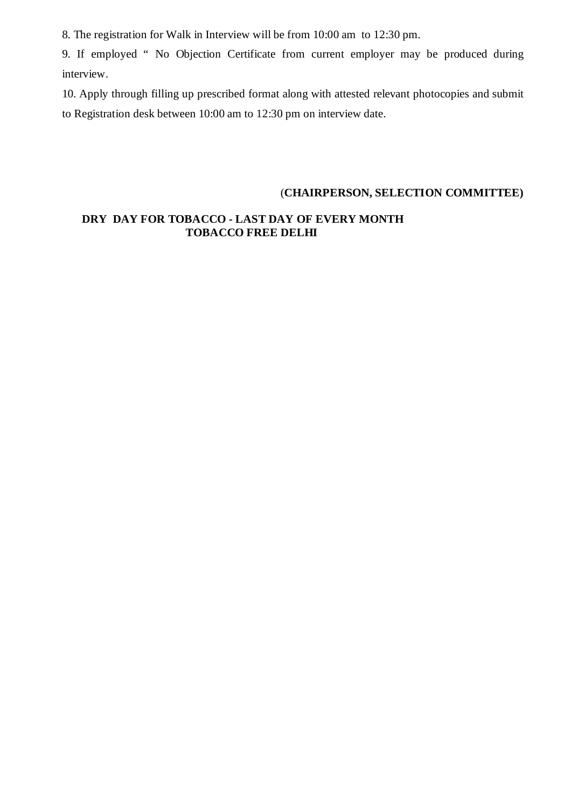8. The registration for Walk in Interview will be from 10:00 am to 12:30 pm.

9. If employed " No Objection Certificate from current employer may be produced during interview.

10. Apply through filling up prescribed format along with attested relevant photocopies and submit to Registration desk between 10:00 am to 12:30 pm on interview date.

## (**CHAIRPERSON, SELECTION COMMITTEE)**

## **DRY DAY FOR TOBACCO - LAST DAY OF EVERY MONTH TOBACCO FREE DELHI**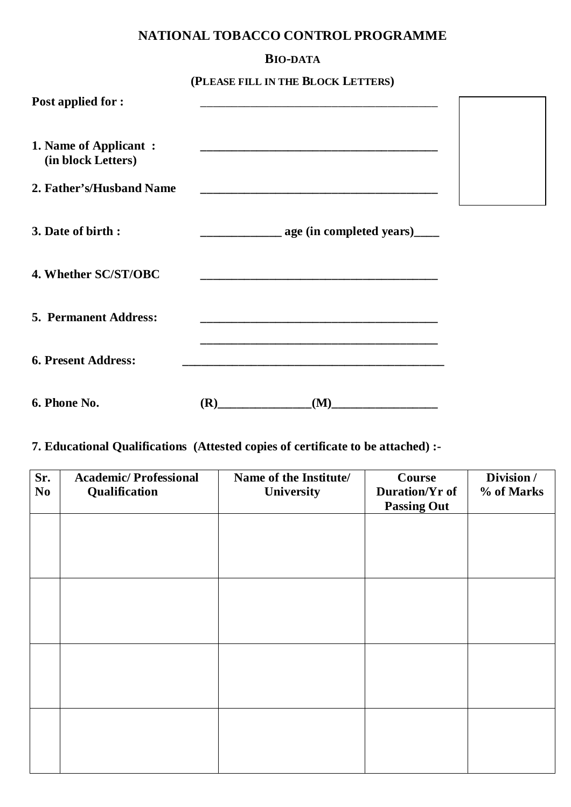# **NATIONAL TOBACCO CONTROL PROGRAMME**

## **BIO-DATA**

**(PLEASE FILL IN THE BLOCK LETTERS)**

| <b>Post applied for:</b>                     |     |                              |  |
|----------------------------------------------|-----|------------------------------|--|
| 1. Name of Applicant :<br>(in block Letters) |     |                              |  |
| 2. Father's/Husband Name                     |     |                              |  |
| 3. Date of birth :                           |     | age (in completed years)____ |  |
| 4. Whether SC/ST/OBC                         |     |                              |  |
| <b>5. Permanent Address:</b>                 |     |                              |  |
| <b>6. Present Address:</b>                   |     |                              |  |
| 6. Phone No.                                 | (R) | (M)                          |  |

# **7. Educational Qualifications (Attested copies of certificate to be attached) :-**

| Sr.<br>N <sub>o</sub> | <b>Academic/Professional</b><br>Qualification | Name of the Institute/<br>University | Course<br>Duration/Yr of<br><b>Passing Out</b> | Division /<br>% of Marks |
|-----------------------|-----------------------------------------------|--------------------------------------|------------------------------------------------|--------------------------|
|                       |                                               |                                      |                                                |                          |
|                       |                                               |                                      |                                                |                          |
|                       |                                               |                                      |                                                |                          |
|                       |                                               |                                      |                                                |                          |